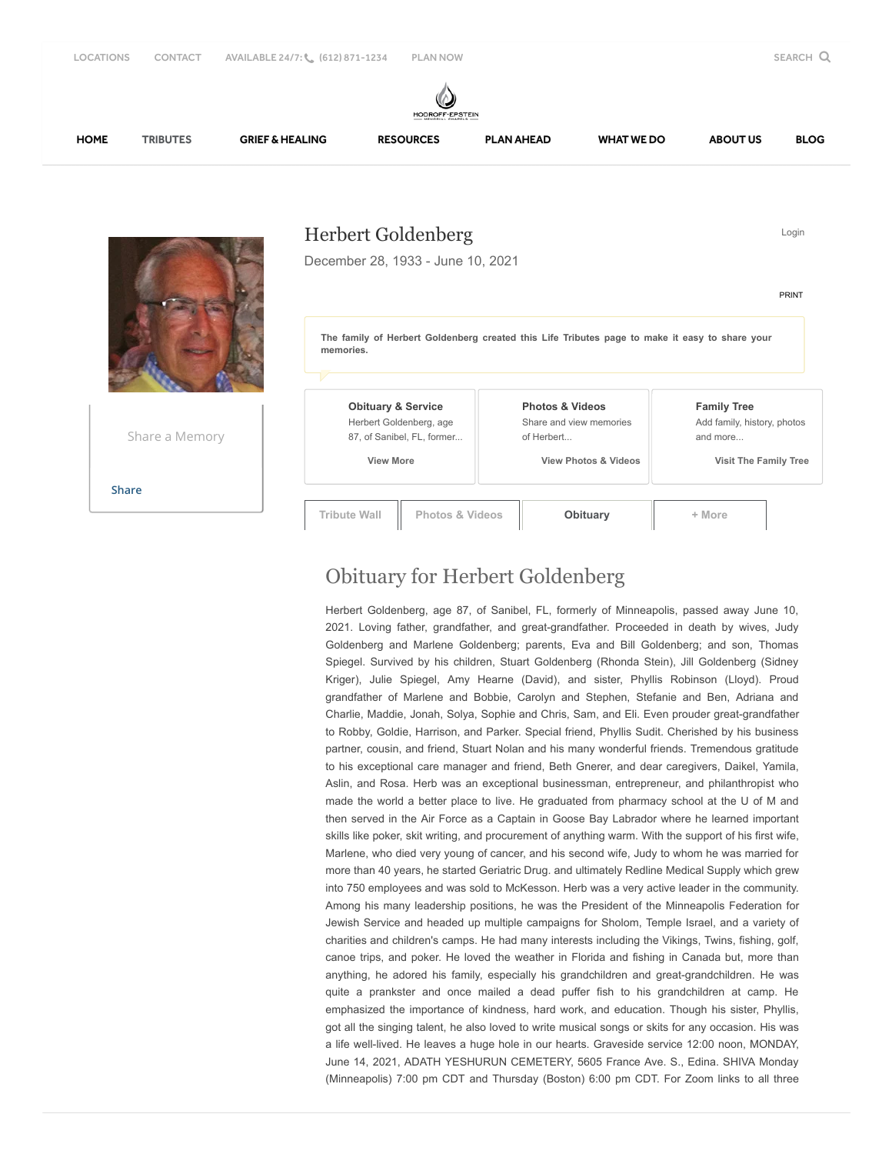

Share a Memory

**[Share](javascript:void(0);)**

 **View More**

**Tribute Wall Photos & Videos [Obituary](javascript:void(0);) + More**

 **View Photos & Videos**

 **Visit The Family Tree**

## Obituary for Herbert Goldenberg

Herbert Goldenberg, age 87, of Sanibel, FL, formerly of Minneapolis, passed away June 10, 2021. Loving father, grandfather, and great-grandfather. Proceeded in death by wives, Judy Goldenberg and Marlene Goldenberg; parents, Eva and Bill Goldenberg; and son, Thomas Spiegel. Survived by his children, Stuart Goldenberg (Rhonda Stein), Jill Goldenberg (Sidney Kriger), Julie Spiegel, Amy Hearne (David), and sister, Phyllis Robinson (Lloyd). Proud grandfather of Marlene and Bobbie, Carolyn and Stephen, Stefanie and Ben, Adriana and Charlie, Maddie, Jonah, Solya, Sophie and Chris, Sam, and Eli. Even prouder great-grandfather to Robby, Goldie, Harrison, and Parker. Special friend, Phyllis Sudit. Cherished by his business partner, cousin, and friend, Stuart Nolan and his many wonderful friends. Tremendous gratitude to his exceptional care manager and friend, Beth Gnerer, and dear caregivers, Daikel, Yamila, Aslin, and Rosa. Herb was an exceptional businessman, entrepreneur, and philanthropist who made the world a better place to live. He graduated from pharmacy school at the U of M and then served in the Air Force as a Captain in Goose Bay Labrador where he learned important skills like poker, skit writing, and procurement of anything warm. With the support of his first wife, Marlene, who died very young of cancer, and his second wife, Judy to whom he was married for more than 40 years, he started Geriatric Drug. and ultimately Redline Medical Supply which grew into 750 employees and was sold to McKesson. Herb was a very active leader in the community. Among his many leadership positions, he was the President of the Minneapolis Federation for Jewish Service and headed up multiple campaigns for Sholom, Temple Israel, and a variety of charities and children's camps. He had many interests including the Vikings, Twins, fishing, golf, canoe trips, and poker. He loved the weather in Florida and fishing in Canada but, more than anything, he adored his family, especially his grandchildren and great-grandchildren. He was quite a prankster and once mailed a dead puffer fish to his grandchildren at camp. He emphasized the importance of kindness, hard work, and education. Though his sister, Phyllis, got all the singing talent, he also loved to write musical songs or skits for any occasion. His was a life well-lived. He leaves a huge hole in our hearts. Graveside service 12:00 noon, MONDAY, June 14, 2021, ADATH YESHURUN CEMETERY, 5605 France Ave. S., Edina. SHIVA Monday (Minneapolis) 7:00 pm CDT and Thursday (Boston) 6:00 pm CDT. For Zoom links to all three